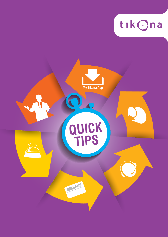

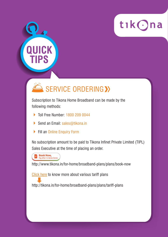

# SERVICE ORDERING >>

Subscription to Tikona Home Broadband can be made by the following methods:

- ▶ Toll Free Number: 1800 209 0044
- Send an Email: sales@tikona.in
- ▶ Fill an Online Enquiry Form

No subscription amount to be paid to Tikona Infinet Private Limited (TIPL) Sales Executive at the time of placing an order.



**UICK** 

**TIPS**

http://www.tikona.in/for-home/broadband-plans/plans/book-now

Click here to know more about various tariff plans

http://tikona.in/for-home/broadband-plans/plans/tariff-plans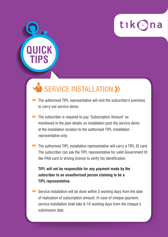

## SERVICE INSTALLATION >>

**QUICK**

**TIPS**

- **DE** The authorised TIPL representative will visit the subscriber's premises to carry-out service demo.
- **N** The subscriber is required to pay 'Subscription Amount' as mentioned in the plan details on installation post the service demo at the installation location to the authorised TIPL installation representative only.
- **N** The authorised TIPL installation representative will carry a TIPL ID card. The subscriber can ask the TIPL representative for valid Government ID like PAN card or driving license to verify his identification.

 **TIPL will not be responsible for any payment made by the subscriber to an unauthorised person claiming to be a TIPL representative.**

**N** Service installation will be done within 3 working days from the date of realisation of subscription amount. In case of cheque payment, service installation shall take 6-10 working days from the cheque's submission date.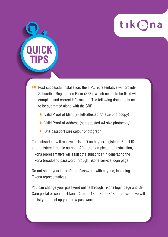

- **Post successful installation, the TIPL representative will provide**  Subscriber Registration Form (SRF), which needs to be filled with complete and correct information. The following documents need to be submitted along with the SRF.
	- ▶ Valid Proof of Identity (self-attested A4 size photocopy)
	- ▶ Valid Proof of Address (self-attested A4 size photocopy)
	- ▶ One passport size colour photograph

**QUICK**

**TIPS**

The subscriber will receive a User ID on his/her registered Email ID and registered mobile number. After the completion of installation, Tikona representative will assist the subscriber in generating the Tikona broadband password through Tikona service login page.

Do not share your User ID and Password with anyone, including Tikona representatives.

You can change your password online through Tikona login page and Self Care portal or contact Tikona Care on 1860 3000 3434, the executive will assist you to set up your new password.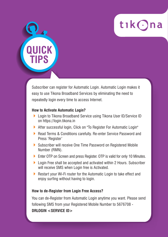

Subscriber can register for Automatic Login. Automatic Login makes it easy to use Tikona Broadband Services by eliminating the need to repeatedly login every time to access Internet.

#### **How to Activate Automatic Login?**

**QUICK**

**TIPS**

- ▶ Login to Tikona Broadband Service using Tikona User ID/Service ID on https://login.tikona.in
- After successful login, Click on "To Register For Automatic Login"
- ▶ Read Terms & Conditions carefully. Re-enter Service Password and Press 'Register'
- Subscriber will receive One Time Password on Registered Mobile Number (RMN).
- ▶ Enter OTP on Screen and press Register. OTP is valid for only 10 Minutes.
- ▶ Login Free shall be accepted and activated within 2 Hours. Subscriber will receive SMS when Login free is Activated.
- ▶ Restart your Wi-Fi router for the Automatic Login to take effect and enjoy surfing without having to login.

#### **How to de-Register from Login Free Access?**

You can de-Register from Automatic Login anytime you want. Please send following SMS from your Registered Mobile Number to 5676708 - **DRLOGIN <SERVICE ID>**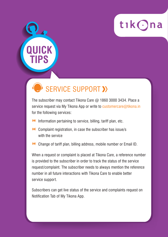

## SERVICE SUPPORT >>

**QUICK**

**TIPS**

The subscriber may contact Tikona Care @ 1860 3000 3434. Place a service request via My Tikona App or write to customercare@tikona.in for the following services:

- $\blacktriangleright$  Information pertaining to service, billing, tariff plan, etc.
- Complaint registration, in case the subscriber has issue/s with the service
- Change of tariff plan, billing address, mobile number or Email ID.

When a request or complaint is placed at Tikona Care, a reference number is provided to the subscriber in order to track the status of the service request/complaint. The subscriber needs to always mention the reference number in all future interactions with Tikona Care to enable better service support.

Subscribers can get live status of the service and complaints request on Notification Tab of My Tikona App.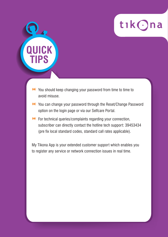

**N** You should keep changing your password from time to time to avoid misuse.

**UICK** 

**TIPS**

- You can change your password through the Reset/Change Password option on the login page or via our Selfcare Portal.
- **EXECUTE:** For technical queries/complaints regarding your connection, subscriber can directly contact the hotline tech support: 39453434 (pre fix local standard codes, standard call rates applicable).

My Tikona App is your extended customer support which enables you to register any service or network connection issues in real time.